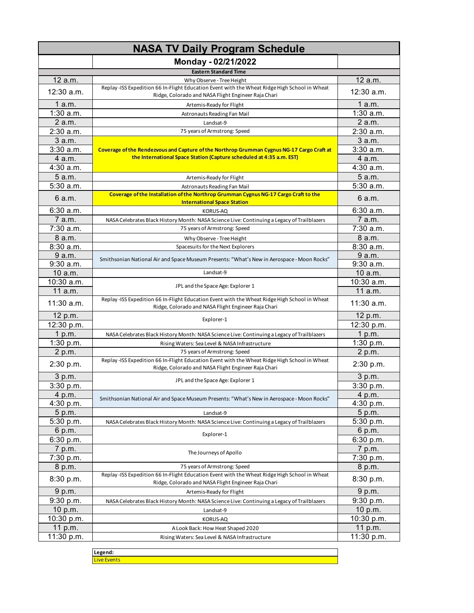| <b>NASA TV Daily Program Schedule</b> |                                                                                                                                                      |                       |
|---------------------------------------|------------------------------------------------------------------------------------------------------------------------------------------------------|-----------------------|
|                                       | Monday - 02/21/2022                                                                                                                                  |                       |
|                                       | <b>Eastern Standard Time</b>                                                                                                                         |                       |
| 12 a.m.                               | Why Observe - Tree Height                                                                                                                            | 12 a.m.               |
| 12:30 a.m.                            | Replay -ISS Expedition 66 In-Flight Education Event with the Wheat Ridge High School in Wheat<br>Ridge, Colorado and NASA Flight Engineer Raja Chari | 12:30 a.m.            |
| 1 a.m.                                | Artemis-Ready for Flight                                                                                                                             | 1a.m.                 |
| $1:30$ a.m.                           | Astronauts Reading Fan Mail                                                                                                                          | $1:30$ a.m.           |
| 2 a.m.                                | Landsat-9                                                                                                                                            | 2a.m.                 |
| $2:30$ a.m.                           | 75 years of Armstrong: Speed                                                                                                                         | 2:30 a.m.             |
| $3$ a.m.                              |                                                                                                                                                      | 3 a.m.                |
| 3:30a.m.                              | Coverage of the Rendezvous and Capture of the Northrop Grumman Cygnus NG-17 Cargo Craft at                                                           | $3:30$ a.m.           |
| 4 a.m.                                | the International Space Station (Capture scheduled at 4:35 a.m. EST)                                                                                 | 4 a.m.                |
| $4:30$ a.m.                           |                                                                                                                                                      | $4:30$ a.m.           |
| 5a.m.                                 | Artemis-Ready for Flight                                                                                                                             | 5 a.m.                |
| 5:30 a.m.                             | Astronauts Reading Fan Mail                                                                                                                          | 5:30 a.m.             |
| 6 a.m.                                | Coverage of the Installation of the Northrop Grumman Cygnus NG-17 Cargo Craft to the<br><b>International Space Station</b>                           | 6 a.m.                |
| 6:30a.m.                              | <b>KORUS-AQ</b>                                                                                                                                      | 6:30a.m.              |
| 7 a.m.                                | NASA Celebrates Black History Month: NASA Science Live: Continuing a Legacy of Trailblazers                                                          | 7 a.m.                |
| $7:30$ a.m.                           | 75 years of Armstrong: Speed                                                                                                                         | $7:30$ a.m.           |
| 8 a.m.                                | Why Observe - Tree Height                                                                                                                            | 8 a.m.                |
| 8:30a.m.                              | Spacesuits for the Next Explorers                                                                                                                    | 8:30 a.m.             |
| 9 a.m.                                | Smithsonian National Air and Space Museum Presents: "What's New in Aerospace - Moon Rocks"                                                           | 9 a.m.                |
| 9:30 a.m.                             |                                                                                                                                                      | 9:30 a.m.             |
| 10 a.m.                               | Landsat-9                                                                                                                                            | 10 a.m.               |
| 10:30 a.m.<br>11 a.m.                 | JPL and the Space Age: Explorer 1                                                                                                                    | 10:30 a.m.<br>11 a.m. |
| $11:30$ a.m.                          | Replay -ISS Expedition 66 In-Flight Education Event with the Wheat Ridge High School in Wheat<br>Ridge, Colorado and NASA Flight Engineer Raja Chari | 11:30 a.m.            |
| 12 p.m.                               | Explorer-1                                                                                                                                           | 12 p.m.               |
| 12:30 p.m.                            |                                                                                                                                                      | 12:30 p.m.            |
| 1 p.m.                                | NASA Celebrates Black History Month: NASA Science Live: Continuing a Legacy of Trailblazers                                                          | 1 p.m.                |
| 1:30 p.m.                             | Rising Waters: Sea Level & NASA Infrastructure                                                                                                       | 1:30 p.m.             |
| 2 p.m.                                | 75 years of Armstrong: Speed                                                                                                                         | 2 p.m.                |
| 2:30 p.m.                             | Replay -ISS Expedition 66 In-Flight Education Event with the Wheat Ridge High School in Wheat<br>Ridge, Colorado and NASA Flight Engineer Raja Chari | 2:30 p.m.             |
| 3 p.m.                                | JPL and the Space Age: Explorer 1                                                                                                                    | 3 p.m.                |
| 3:30 p.m.                             |                                                                                                                                                      | 3:30 p.m.             |
| 4 p.m.                                | Smithsonian National Air and Space Museum Presents: "What's New in Aerospace - Moon Rocks"                                                           | 4 p.m.                |
| 4:30 p.m.                             |                                                                                                                                                      | 4:30 p.m.             |
| 5 p.m.                                | Landsat-9                                                                                                                                            | 5 p.m.                |
| 5:30 p.m.                             | NASA Celebrates Black History Month: NASA Science Live: Continuing a Legacy of Trailblazers                                                          | 5:30 p.m.             |
| 6 p.m.                                | Explorer-1                                                                                                                                           | 6 p.m.                |
| 6:30 p.m.                             |                                                                                                                                                      | 6:30 p.m.             |
| 7 p.m.                                | The Journeys of Apollo                                                                                                                               | 7 p.m.                |
| 7:30 p.m.                             |                                                                                                                                                      | 7:30 p.m.             |
| 8 p.m.                                | 75 years of Armstrong: Speed<br>Replay -ISS Expedition 66 In-Flight Education Event with the Wheat Ridge High School in Wheat                        | 8 p.m.                |
| 8:30 p.m.                             | Ridge, Colorado and NASA Flight Engineer Raja Chari                                                                                                  | 8:30 p.m.             |
| 9 p.m.                                | Artemis-Ready for Flight                                                                                                                             | 9 p.m.                |
| 9:30 p.m.                             | NASA Celebrates Black History Month: NASA Science Live: Continuing a Legacy of Trailblazers                                                          | 9:30 p.m.             |
| 10 p.m.                               | Landsat-9                                                                                                                                            | 10 p.m.               |
| 10:30 p.m.                            | KORUS-AQ                                                                                                                                             | 10:30 p.m.            |
| 11 p.m.                               | A Look Back: How Heat Shaped 2020                                                                                                                    | 11 p.m.               |
| 11:30 p.m.                            | Rising Waters: Sea Level & NASA Infrastructure                                                                                                       | 11:30 p.m.            |
|                                       | Legend:                                                                                                                                              |                       |

Live Events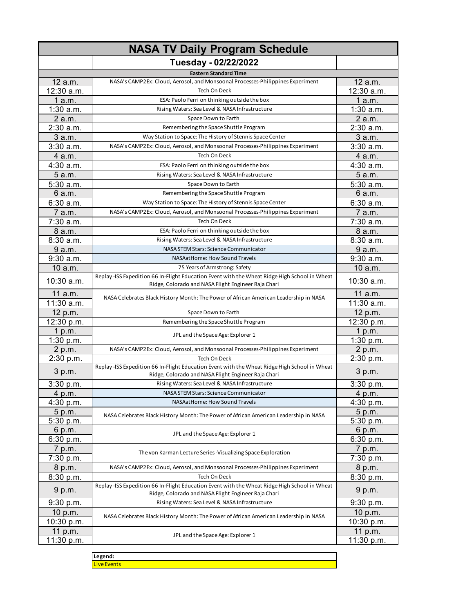| <b>NASA TV Daily Program Schedule</b> |                                                                                                                                                      |             |
|---------------------------------------|------------------------------------------------------------------------------------------------------------------------------------------------------|-------------|
|                                       | Tuesday - 02/22/2022                                                                                                                                 |             |
|                                       | <b>Eastern Standard Time</b>                                                                                                                         |             |
| 12 a.m.                               | NASA's CAMP2Ex: Cloud, Aerosol, and Monsoonal Processes-Philippines Experiment                                                                       | 12 a.m.     |
| 12:30 a.m.                            | Tech On Deck                                                                                                                                         | 12:30 a.m.  |
| 1a.m.                                 | ESA: Paolo Ferri on thinking outside the box                                                                                                         | 1 a.m.      |
| $1:30$ a.m.                           | Rising Waters: Sea Level & NASA Infrastructure                                                                                                       | $1:30$ a.m. |
| $2$ a.m.                              | Space Down to Earth                                                                                                                                  | 2 a.m.      |
| 2:30 a.m.                             | Remembering the Space Shuttle Program                                                                                                                | 2:30 a.m.   |
| 3 a.m.                                | Way Station to Space: The History of Stennis Space Center                                                                                            | 3 a.m.      |
| $3:30$ a.m.                           | NASA's CAMP2Ex: Cloud, Aerosol, and Monsoonal Processes-Philippines Experiment                                                                       | 3:30a.m.    |
| 4 a.m.                                | Tech On Deck                                                                                                                                         | 4 a.m.      |
| 4:30 a.m.                             | ESA: Paolo Ferri on thinking outside the box                                                                                                         | 4:30 a.m.   |
| 5 a.m.                                | Rising Waters: Sea Level & NASA Infrastructure                                                                                                       | 5 a.m.      |
| 5:30 a.m.                             | Space Down to Earth                                                                                                                                  | 5:30 a.m.   |
| 6 a.m.                                | Remembering the Space Shuttle Program                                                                                                                | 6a.m.       |
| 6:30a.m.                              | Way Station to Space: The History of Stennis Space Center                                                                                            | 6:30 a.m.   |
| 7 a.m.                                | NASA's CAMP2Ex: Cloud, Aerosol, and Monsoonal Processes-Philippines Experiment                                                                       | 7 a.m.      |
| 7:30 a.m.                             | Tech On Deck                                                                                                                                         | 7:30 a.m.   |
| 8 a.m.                                | ESA: Paolo Ferri on thinking outside the box                                                                                                         | 8 a.m.      |
| 8:30 a.m.                             | Rising Waters: Sea Level & NASA Infrastructure                                                                                                       | 8:30 a.m.   |
| 9 a.m.                                | NASA STEM Stars: Science Communicator                                                                                                                | 9 a.m.      |
| $\overline{9}$ :30 a.m.               | NASAatHome: How Sound Travels                                                                                                                        | 9:30 a.m.   |
| 10 a.m.                               | 75 Years of Armstrong: Safety                                                                                                                        | 10 a.m.     |
|                                       | Replay -ISS Expedition 66 In-Flight Education Event with the Wheat Ridge High School in Wheat                                                        |             |
| 10:30 a.m.                            | Ridge, Colorado and NASA Flight Engineer Raja Chari                                                                                                  | 10:30 a.m.  |
| 11 a.m.                               | NASA Celebrates Black History Month: The Power of African American Leadership in NASA                                                                | 11 a.m.     |
| 11:30 a.m.                            |                                                                                                                                                      | 11:30 a.m.  |
| 12 p.m.                               | Space Down to Earth                                                                                                                                  | 12 p.m.     |
| 12:30 p.m.                            | Remembering the Space Shuttle Program                                                                                                                | 12:30 p.m.  |
| 1 p.m.                                | JPL and the Space Age: Explorer 1                                                                                                                    | 1 p.m.      |
| 1:30 p.m.                             |                                                                                                                                                      | 1:30 p.m.   |
| 2 p.m.                                | NASA's CAMP2Ex: Cloud, Aerosol, and Monsoonal Processes-Philippines Experiment                                                                       | 2 p.m.      |
| 2:30 p.m.                             | Tech On Deck                                                                                                                                         | 2:30 p.m.   |
| 3 p.m.                                | Replay -ISS Expedition 66 In-Flight Education Event with the Wheat Ridge High School in Wheat<br>Ridge, Colorado and NASA Flight Engineer Raja Chari | 3 p.m.      |
| 3:30 p.m.                             | Rising Waters: Sea Level & NASA Infrastructure                                                                                                       | 3:30 p.m.   |
| 4 p.m.                                | NASA STEM Stars: Science Communicator                                                                                                                | 4 p.m.      |
| 4:30 p.m.                             | NASAatHome: How Sound Travels                                                                                                                        | 4:30 p.m.   |
| 5 p.m.                                | NASA Celebrates Black History Month: The Power of African American Leadership in NASA                                                                | 5 p.m.      |
| 5:30 p.m.                             |                                                                                                                                                      | 5:30 p.m.   |
| 6 p.m.                                | JPL and the Space Age: Explorer 1                                                                                                                    | 6 p.m.      |
| 6:30 p.m.                             |                                                                                                                                                      | 6:30 p.m.   |
| 7 p.m.                                |                                                                                                                                                      | 7 p.m.      |
| 7:30 p.m.                             | The von Karman Lecture Series - Visualizing Space Exploration                                                                                        | 7:30 p.m.   |
| 8 p.m.                                | NASA's CAMP2Ex: Cloud, Aerosol, and Monsoonal Processes-Philippines Experiment                                                                       | 8 p.m.      |
| 8:30 p.m.                             | Tech On Deck                                                                                                                                         | 8:30 p.m.   |
| 9 p.m.                                | Replay -ISS Expedition 66 In-Flight Education Event with the Wheat Ridge High School in Wheat<br>Ridge, Colorado and NASA Flight Engineer Raja Chari | 9 p.m.      |
| 9:30 p.m.                             | Rising Waters: Sea Level & NASA Infrastructure                                                                                                       | 9:30 p.m.   |
| 10 p.m.                               |                                                                                                                                                      | 10 p.m.     |
| 10:30 p.m.                            | NASA Celebrates Black History Month: The Power of African American Leadership in NASA                                                                | 10:30 p.m.  |
| 11 p.m.                               |                                                                                                                                                      | 11 p.m.     |
| 11:30 p.m.                            | JPL and the Space Age: Explorer 1                                                                                                                    | 11:30 p.m.  |
|                                       |                                                                                                                                                      |             |

**Legend:** Live Events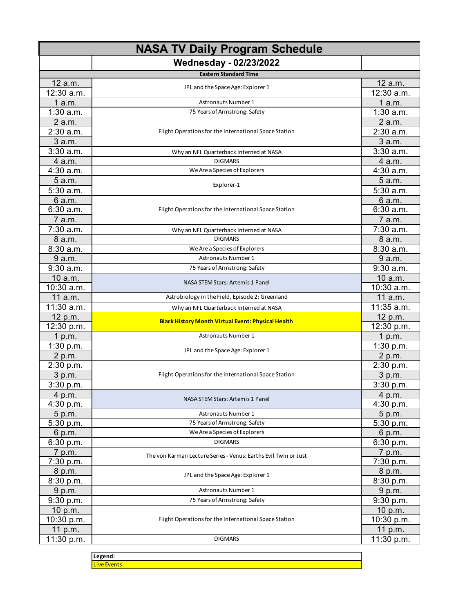| <b>NASA TV Daily Program Schedule</b> |                                                                 |             |
|---------------------------------------|-----------------------------------------------------------------|-------------|
|                                       | <b>Wednesday - 02/23/2022</b>                                   |             |
|                                       | <b>Eastern Standard Time</b>                                    |             |
| 12 a.m.                               | JPL and the Space Age: Explorer 1                               | 12 a.m.     |
| 12:30 a.m.                            |                                                                 | 12:30 a.m.  |
| 1a.m.                                 | <b>Astronauts Number 1</b>                                      | 1a.m.       |
| $1:30$ a.m.                           | 75 Years of Armstrong: Safety                                   | $1:30$ a.m. |
| 2 a.m.                                |                                                                 | 2 a.m.      |
| $2:30$ a.m.                           | Flight Operations for the International Space Station           | 2:30 a.m.   |
| 3 a.m.                                |                                                                 | 3 a.m.      |
| 3:30 a.m.                             | Why an NFL Quarterback Interned at NASA                         | 3:30a.m.    |
| 4 a.m.                                | <b>DIGMARS</b>                                                  | 4 a.m.      |
| 4:30 a.m.                             | We Are a Species of Explorers                                   | 4:30 a.m.   |
| 5 a.m.                                |                                                                 | 5 a.m.      |
| 5:30 a.m.                             | Explorer-1                                                      | 5:30 a.m.   |
| 6 a.m.                                |                                                                 | 6 a.m.      |
| 6:30 a.m.                             | Flight Operations for the International Space Station           | 6:30a.m.    |
| 7 a.m.                                |                                                                 | 7 a.m.      |
| 7:30 a.m.                             | Why an NFL Quarterback Interned at NASA                         | 7:30 a.m.   |
| 8 a.m.                                | <b>DIGMARS</b>                                                  | 8 a.m.      |
| 8:30a.m.                              | We Are a Species of Explorers                                   | 8:30 a.m.   |
| 9 a.m.                                | Astronauts Number 1                                             | 9 a.m.      |
| 9:30a.m.                              | 75 Years of Armstrong: Safety                                   | $9:30$ a.m. |
| 10 a.m.                               |                                                                 | 10 a.m.     |
| 10:30 a.m.                            | NASA STEM Stars: Artemis 1 Panel                                | 10:30 a.m.  |
| 11 a.m.                               | Astrobiology in the Field, Episode 2: Greenland                 | 11 a.m.     |
| 11:30 a.m.                            | Why an NFL Quarterback Interned at NASA                         | 11:35 a.m.  |
| 12 p.m.                               |                                                                 | 12 p.m.     |
| 12:30 p.m.                            | <b>Black History Month Virtual Event: Physical Health</b>       | 12:30 p.m.  |
| 1 p.m.                                | <b>Astronauts Number 1</b>                                      | 1 p.m.      |
| 1:30 p.m.                             |                                                                 | 1:30 p.m.   |
| 2 p.m.                                | JPL and the Space Age: Explorer 1                               | 2 p.m.      |
| 2:30 p.m.                             |                                                                 | 2:30 p.m.   |
| 3 p.m.                                | Flight Operations for the International Space Station           | 3 p.m.      |
| 3:30 p.m.                             |                                                                 | 3:30 p.m.   |
| 4 p.m.                                |                                                                 | 4 p.m.      |
| 4:30 p.m.                             | NASA STEM Stars: Artemis 1 Panel                                | 4:30 p.m.   |
| 5 p.m.                                | Astronauts Number 1                                             | 5 p.m.      |
| 5:30 p.m.                             | 75 Years of Armstrong: Safety                                   | 5:30 p.m.   |
| 6 p.m.                                | We Are a Species of Explorers                                   | 6 p.m.      |
| 6:30 p.m.                             | <b>DIGMARS</b>                                                  | 6:30 p.m.   |
| 7 p.m.                                | The von Karman Lecture Series - Venus: Earths Evil Twin or Just | 7 p.m.      |
| 7:30 p.m.                             |                                                                 | 7:30 p.m.   |
| 8 p.m.                                | JPL and the Space Age: Explorer 1                               | 8 p.m.      |
| 8:30 p.m.                             |                                                                 | 8:30 p.m.   |
| 9 p.m.                                | <b>Astronauts Number 1</b>                                      | 9 p.m.      |
| 9:30 p.m.                             | 75 Years of Armstrong: Safety                                   | 9:30 p.m.   |
| 10 p.m.                               |                                                                 | 10 p.m.     |
| 10:30 p.m.                            | Flight Operations for the International Space Station           | 10:30 p.m.  |
| 11 p.m.                               |                                                                 | 11 p.m.     |
| 11:30 p.m.                            | <b>DIGMARS</b>                                                  | 11:30 p.m.  |
|                                       |                                                                 |             |

**Legend:** Live Events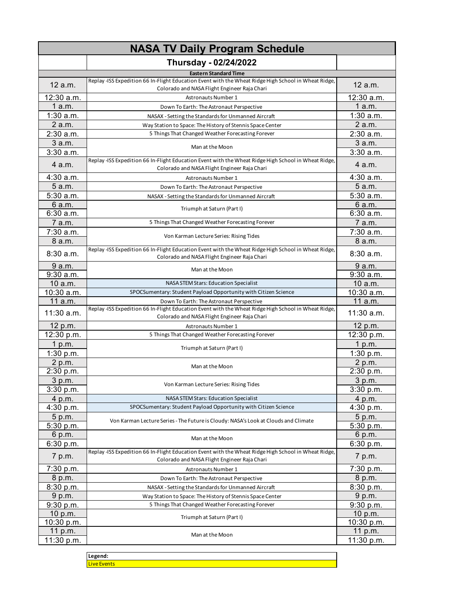| <b>NASA TV Daily Program Schedule</b> |                                                                                                                                                      |                       |
|---------------------------------------|------------------------------------------------------------------------------------------------------------------------------------------------------|-----------------------|
|                                       | Thursday - 02/24/2022                                                                                                                                |                       |
|                                       | <b>Eastern Standard Time</b>                                                                                                                         |                       |
| 12 a.m.                               | Replay -ISS Expedition 66 In-Flight Education Event with the Wheat Ridge High School in Wheat Ridge,<br>Colorado and NASA Flight Engineer Raja Chari | 12 a.m.               |
| 12:30 a.m.                            | Astronauts Number 1                                                                                                                                  | 12:30 a.m.            |
| 1 a.m.                                | Down To Earth: The Astronaut Perspective                                                                                                             | 1a.m.                 |
| $1:30$ a.m.                           | NASAX - Setting the Standards for Unmanned Aircraft                                                                                                  | 1:30 a.m.             |
| 2 a.m.                                | Way Station to Space: The History of Stennis Space Center                                                                                            | 2 a.m.                |
| 2:30 a.m.                             | 5 Things That Changed Weather Forecasting Forever                                                                                                    | 2:30 a.m.             |
| 3 a.m.                                | Man at the Moon                                                                                                                                      | 3 a.m.                |
| 3:30 a.m.                             |                                                                                                                                                      | 3:30 a.m.             |
| 4 a.m.                                | Replay -ISS Expedition 66 In-Flight Education Event with the Wheat Ridge High School in Wheat Ridge,<br>Colorado and NASA Flight Engineer Raja Chari | 4 a.m.                |
| 4:30 a.m.                             | Astronauts Number 1                                                                                                                                  | $4:30$ a.m.           |
| 5 a.m.                                | Down To Earth: The Astronaut Perspective                                                                                                             | 5 a.m.                |
| 5:30 a.m.                             | NASAX - Setting the Standards for Unmanned Aircraft                                                                                                  | 5:30 a.m.             |
| 6 a.m.                                | Triumph at Saturn (Part I)                                                                                                                           | 6 a.m.                |
| 6:30 a.m.                             |                                                                                                                                                      | 6:30 a.m.             |
| 7 a.m.                                | 5 Things That Changed Weather Forecasting Forever                                                                                                    | 7 a.m.                |
| 7:30 a.m.                             | Von Karman Lecture Series: Rising Tides                                                                                                              | 7:30 a.m.             |
| 8 a.m.                                |                                                                                                                                                      | 8 a.m.                |
| 8:30 a.m.                             | Replay -ISS Expedition 66 In-Flight Education Event with the Wheat Ridge High School in Wheat Ridge,<br>Colorado and NASA Flight Engineer Raja Chari | 8:30a.m.              |
| 9 a.m.                                | Man at the Moon                                                                                                                                      | 9 a.m.                |
| $9:30$ a.m.                           |                                                                                                                                                      | $9:30$ a.m.           |
| 10 a.m.                               | NASA STEM Stars: Education Specialist                                                                                                                | 10 a.m.               |
| $10:30$ a.m.                          | SPOCSumentary: Student Payload Opportunity with Citizen Science                                                                                      | 10:30 a.m.            |
| 11 a.m.                               | Down To Earth: The Astronaut Perspective<br>Replay -ISS Expedition 66 In-Flight Education Event with the Wheat Ridge High School in Wheat Ridge,     | 11 a.m.               |
| 11:30 a.m.                            | Colorado and NASA Flight Engineer Raja Chari                                                                                                         | 11:30 a.m.            |
| 12 p.m.                               | Astronauts Number 1                                                                                                                                  | 12 p.m.               |
| 12:30 p.m.                            | 5 Things That Changed Weather Forecasting Forever                                                                                                    | 12:30 p.m.            |
| 1 $p.m.$                              | Triumph at Saturn (Part I)                                                                                                                           | 1 p.m.                |
| 1:30 p.m.                             |                                                                                                                                                      | 1:30 p.m.             |
| 2 p.m.                                | Man at the Moon                                                                                                                                      | 2 p.m.                |
| 2:30 p.m.                             |                                                                                                                                                      | 2:30 p.m.             |
| 3 p.m.                                | Von Karman Lecture Series: Rising Tides                                                                                                              | 3 p.m.                |
| 3:30 p.m.                             |                                                                                                                                                      | 3:30 p.m.             |
| 4 p.m.                                | NASA STEM Stars: Education Specialist                                                                                                                | 4 p.m.                |
| 4:30 p.m.                             | SPOCSumentary: Student Payload Opportunity with Citizen Science                                                                                      | 4:30 p.m.             |
| 5 p.m.                                | Von Karman Lecture Series - The Future is Cloudy: NASA's Look at Clouds and Climate                                                                  | 5 p.m.                |
| 5:30 p.m.                             |                                                                                                                                                      | 5:30 p.m.             |
| 6 p.m.                                | Man at the Moon                                                                                                                                      | 6 p.m.                |
| 6:30 p.m.                             | Replay -ISS Expedition 66 In-Flight Education Event with the Wheat Ridge High School in Wheat Ridge,                                                 | 6:30 p.m.             |
| 7 p.m.                                | Colorado and NASA Flight Engineer Raja Chari                                                                                                         | 7 p.m.                |
| 7:30 p.m.                             | Astronauts Number 1                                                                                                                                  | 7:30 p.m.             |
| 8 p.m.                                | Down To Earth: The Astronaut Perspective                                                                                                             | 8 p.m.                |
| 8:30 p.m.                             | NASAX - Setting the Standards for Unmanned Aircraft                                                                                                  | 8:30 p.m.             |
| 9 p.m.                                | Way Station to Space: The History of Stennis Space Center                                                                                            | 9 p.m.                |
| 9:30 p.m.                             | 5 Things That Changed Weather Forecasting Forever                                                                                                    | 9:30 p.m.             |
| 10 p.m.<br>10:30 p.m.                 | Triumph at Saturn (Part I)                                                                                                                           | 10 p.m.<br>10:30 p.m. |
| 11 p.m.                               |                                                                                                                                                      | 11 p.m.               |
| 11:30 p.m.                            | Man at the Moon                                                                                                                                      | 11:30 p.m.            |
|                                       |                                                                                                                                                      |                       |

**Legend: Live Events**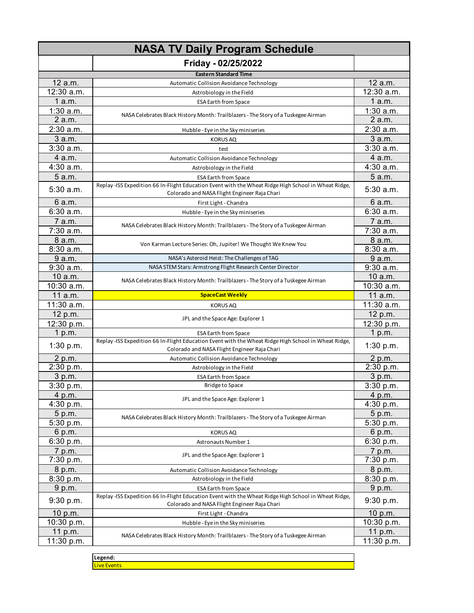| <b>NASA TV Daily Program Schedule</b> |                                                                                                                                                     |              |
|---------------------------------------|-----------------------------------------------------------------------------------------------------------------------------------------------------|--------------|
|                                       | Friday - 02/25/2022                                                                                                                                 |              |
|                                       | <b>Eastern Standard Time</b>                                                                                                                        |              |
| 12 a.m.                               | Automatic Collision Avoidance Technology                                                                                                            | 12 a.m.      |
| 12:30 a.m.                            | Astrobiology in the Field                                                                                                                           | $12:30$ a.m. |
| 1a.m.                                 | <b>ESA Earth from Space</b>                                                                                                                         | 1 a.m.       |
| $1:30$ a.m.                           | NASA Celebrates Black History Month: Trailblazers - The Story of a Tuskegee Airman                                                                  | $1:30$ a.m.  |
| 2 a.m.                                |                                                                                                                                                     | 2 a.m.       |
| 2:30 a.m.                             | Hubble - Eye in the Sky miniseries                                                                                                                  | 2:30 a.m.    |
| 3 a.m.                                | <b>KORUS AQ</b>                                                                                                                                     | 3 a.m.       |
| 3:30a.m.                              | test                                                                                                                                                | $3:30$ a.m.  |
| 4 a.m.                                | Automatic Collision Avoidance Technology                                                                                                            | 4 a.m.       |
| 4:30 a.m.                             | Astrobiology in the Field                                                                                                                           | 4:30 a.m.    |
| 5 a.m.                                | <b>ESA Earth from Space</b>                                                                                                                         | 5 a.m.       |
| 5:30 a.m.                             | Replay-ISS Expedition 66 In-Flight Education Event with the Wheat Ridge High School in Wheat Ridge,<br>Colorado and NASA Flight Engineer Raja Chari | 5:30 a.m.    |
| 6 a.m.                                | First Light - Chandra                                                                                                                               | 6 a.m.       |
| 6:30 a.m.                             | Hubble - Eye in the Sky miniseries                                                                                                                  | 6:30 a.m.    |
| 7 a.m.                                | NASA Celebrates Black History Month: Trailblazers - The Story of a Tuskegee Airman                                                                  | 7 a.m.       |
| $7:30$ a.m.                           |                                                                                                                                                     | $7:30$ a.m.  |
| 8 a.m.                                |                                                                                                                                                     | 8 a.m.       |
| 8:30 a.m.                             | Von Karman Lecture Series: Oh, Jupiter! We Thought We Knew You                                                                                      | $8:30$ a.m.  |
| 9 a.m.                                | NASA's Asteroid Heist: The Challenges of TAG                                                                                                        | 9 a.m.       |
| 9:30 a.m.                             | NASA STEM Stars: Armstrong Flight Research Center Director                                                                                          | $9:30$ a.m.  |
| 10 a.m.                               | NASA Celebrates Black History Month: Trailblazers - The Story of a Tuskegee Airman                                                                  | 10 a.m.      |
| 10:30 a.m.                            |                                                                                                                                                     | 10:30 a.m.   |
| 11 a.m.                               | <b>SpaceCast Weekly</b>                                                                                                                             | 11 a.m.      |
| 11:30 a.m.                            | <b>KORUS AQ</b>                                                                                                                                     | 11:30 a.m.   |
| 12 p.m.                               | JPL and the Space Age: Explorer 1                                                                                                                   | 12 p.m.      |
| 12:30 p.m.                            |                                                                                                                                                     | 12:30 p.m.   |
| 1 p.m.                                | <b>ESA Earth from Space</b>                                                                                                                         | 1 p.m.       |
| 1:30 p.m.                             | Replay -ISS Expedition 66 In-Flight Education Event with the Wheat Ridge High School in Wheat Ridge,                                                | 1:30 $p.m.$  |
|                                       | Colorado and NASA Flight Engineer Raja Chari                                                                                                        |              |
| 2 p.m.                                | Automatic Collision Avoidance Technology                                                                                                            | 2 p.m.       |
| $2:30$ p.m.                           | Astrobiology in the Field                                                                                                                           | 2:30 p.m.    |
| 3 p.m.                                | <b>ESA Earth from Space</b>                                                                                                                         | 3 p.m.       |
| 3:30 p.m.                             | Bridge to Space                                                                                                                                     | 3:30 p.m.    |
| 4 p.m.                                | JPL and the Space Age: Explorer 1                                                                                                                   | 4 p.m.       |
| 4:30 p.m.                             |                                                                                                                                                     | 4:30 p.m.    |
| 5 p.m.                                | NASA Celebrates Black History Month: Trailblazers - The Story of a Tuskegee Airman                                                                  | 5 p.m.       |
| 5:30 p.m.                             |                                                                                                                                                     | 5:30 p.m.    |
| 6 p.m.                                | <b>KORUS AQ</b>                                                                                                                                     | 6 p.m.       |
| 6:30 p.m.                             | Astronauts Number 1                                                                                                                                 | 6:30 p.m.    |
| 7 p.m.                                | JPL and the Space Age: Explorer 1                                                                                                                   | 7 p.m.       |
| 7:30 p.m.                             |                                                                                                                                                     | 7:30 p.m.    |
| 8 p.m.                                | Automatic Collision Avoidance Technology                                                                                                            | 8 p.m.       |
| 8:30 p.m.                             | Astrobiology in the Field                                                                                                                           | 8:30 p.m.    |
| 9 p.m.                                | <b>ESA Earth from Space</b><br>Replay - ISS Expedition 66 In-Flight Education Event with the Wheat Ridge High School in Wheat Ridge,                | 9 p.m.       |
| 9:30 p.m.                             | Colorado and NASA Flight Engineer Raja Chari                                                                                                        | 9:30 p.m.    |
| 10 p.m.                               | First Light - Chandra                                                                                                                               | 10 p.m.      |
| 10:30 p.m.                            | Hubble - Eye in the Sky miniseries                                                                                                                  | 10:30 p.m.   |
| 11 p.m.                               | NASA Celebrates Black History Month: Trailblazers - The Story of a Tuskegee Airman                                                                  | 11 p.m.      |
| 11:30 p.m.                            |                                                                                                                                                     | 11:30 p.m.   |
|                                       | Legend:                                                                                                                                             |              |

Live Events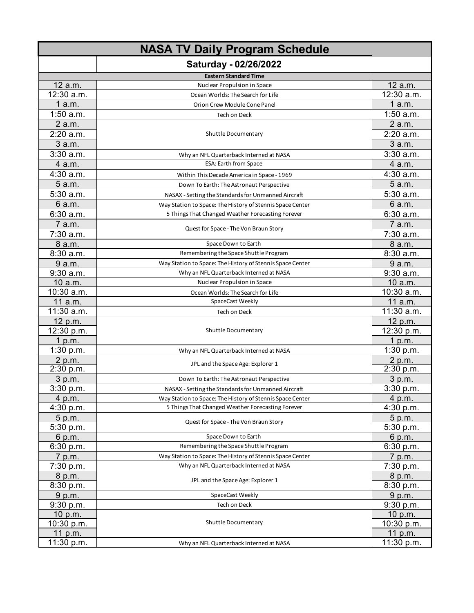| <b>NASA TV Daily Program Schedule</b> |                                                                                                                |                         |
|---------------------------------------|----------------------------------------------------------------------------------------------------------------|-------------------------|
|                                       | Saturday - 02/26/2022                                                                                          |                         |
|                                       | <b>Eastern Standard Time</b>                                                                                   |                         |
| 12 a.m.                               | Nuclear Propulsion in Space                                                                                    | 12 a.m.                 |
| $\overline{1}$ 2:30 a.m.              | Ocean Worlds: The Search for Life                                                                              | $\overline{12:}30$ a.m. |
| 1a.m.                                 | Orion Crew Module Cone Panel                                                                                   | 1a.m.                   |
| $1:50$ a.m.                           | Tech on Deck                                                                                                   | $1:50$ a.m.             |
| 2 a.m.                                |                                                                                                                | 2 a.m.                  |
| 2:20 a.m.                             | Shuttle Documentary                                                                                            | 2:20 a.m.               |
| 3a.m.                                 |                                                                                                                | 3 a.m.                  |
| $3:30$ a.m.                           | Why an NFL Quarterback Interned at NASA                                                                        | $3:30$ a.m.             |
| 4 a.m.                                | <b>ESA: Earth from Space</b>                                                                                   | 4 a.m.                  |
| 4:30 a.m.                             | Within This Decade America in Space - 1969                                                                     | 4:30 a.m.               |
| 5 a.m.                                | Down To Earth: The Astronaut Perspective                                                                       | 5 a.m.                  |
| 5:30 a.m.                             | NASAX - Setting the Standards for Unmanned Aircraft                                                            | 5:30 a.m.               |
| 6 a.m.                                | Way Station to Space: The History of Stennis Space Center                                                      | 6 a.m.                  |
| 6:30 a.m.                             | 5 Things That Changed Weather Forecasting Forever                                                              | 6:30 a.m.               |
| 7 a.m.                                |                                                                                                                | 7 a.m.                  |
| 7:30 a.m.                             | Quest for Space - The Von Braun Story                                                                          | 7:30 a.m.               |
| 8 a.m.                                | Space Down to Earth                                                                                            | 8 a.m.                  |
| 8:30 a.m.                             | Remembering the Space Shuttle Program                                                                          | 8:30 a.m.               |
| 9 a.m.                                | Way Station to Space: The History of Stennis Space Center                                                      | 9 a.m.                  |
| 9:30 a.m.                             | Why an NFL Quarterback Interned at NASA                                                                        | 9:30 a.m.               |
| 10 a.m.                               | Nuclear Propulsion in Space                                                                                    | 10 a.m.                 |
| 10:30 a.m.                            | Ocean Worlds: The Search for Life                                                                              | 10:30 a.m.              |
| 11 a.m.                               | SpaceCast Weekly                                                                                               | 11 a.m.                 |
| 11:30 a.m.                            | Tech on Deck                                                                                                   | 11:30 a.m.              |
| 12 p.m.                               |                                                                                                                | 12 p.m.                 |
| 12:30 p.m.                            | Shuttle Documentary                                                                                            | 12:30 p.m.              |
| 1 p.m.                                |                                                                                                                | 1 p.m.                  |
| 1:30 p.m.                             | Why an NFL Quarterback Interned at NASA                                                                        | 1:30 p.m.               |
| 2 p.m.                                | JPL and the Space Age: Explorer 1                                                                              | 2 p.m.                  |
| 2:30 p.m.                             |                                                                                                                | 2:30 p.m.               |
| 3 p.m.                                | Down To Earth: The Astronaut Perspective                                                                       | 3 p.m.                  |
| 3:30 p.m.                             | NASAX - Setting the Standards for Unmanned Aircraft                                                            | $3:30$ p.m.             |
| 4 p.m.<br>4:30 p.m.                   | Way Station to Space: The History of Stennis Space Center<br>5 Things That Changed Weather Forecasting Forever | 4 p.m.<br>4:30 p.m.     |
| 5 p.m.                                |                                                                                                                | 5 p.m.                  |
| 5:30 p.m.                             | Quest for Space - The Von Braun Story                                                                          | 5:30 p.m.               |
| 6 p.m.                                | Space Down to Earth                                                                                            | 6 p.m.                  |
| 6:30 p.m.                             | Remembering the Space Shuttle Program                                                                          | 6:30 p.m.               |
| 7 p.m.                                | Way Station to Space: The History of Stennis Space Center                                                      | 7 p.m.                  |
| 7:30 p.m.                             | Why an NFL Quarterback Interned at NASA                                                                        | 7:30 p.m.               |
| 8 p.m.                                |                                                                                                                | 8 p.m.                  |
| 8:30 p.m.                             | JPL and the Space Age: Explorer 1                                                                              | 8:30 p.m.               |
| 9 p.m.                                | SpaceCast Weekly                                                                                               | 9 p.m.                  |
| 9:30 p.m.                             | Tech on Deck                                                                                                   | 9:30 p.m.               |
| 10 p.m.                               |                                                                                                                | 10 p.m.                 |
| 10:30 p.m.                            | Shuttle Documentary                                                                                            | 10:30 p.m.              |
| 11 p.m.                               |                                                                                                                | 11 p.m.                 |
| 11:30 p.m.                            | Why an NFL Quarterback Interned at NASA                                                                        | 11:30 p.m.              |